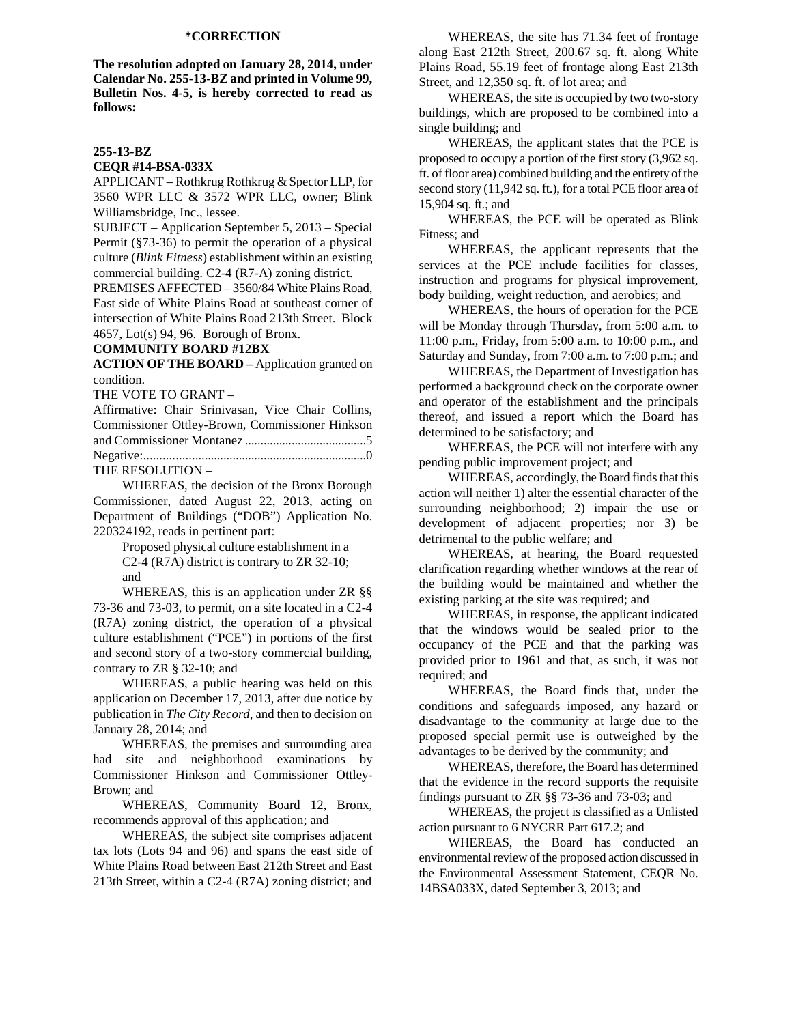## **\*CORRECTION**

**The resolution adopted on January 28, 2014, under Calendar No. 255-13-BZ and printed in Volume 99, Bulletin Nos. 4-5, is hereby corrected to read as follows:** 

## **255-13-BZ**

#### **CEQR #14-BSA-033X**

APPLICANT – Rothkrug Rothkrug & Spector LLP, for 3560 WPR LLC & 3572 WPR LLC, owner; Blink Williamsbridge, Inc., lessee.

SUBJECT – Application September 5, 2013 – Special Permit (§73-36) to permit the operation of a physical culture (*Blink Fitness*) establishment within an existing commercial building. C2-4 (R7-A) zoning district.

PREMISES AFFECTED – 3560/84 White Plains Road, East side of White Plains Road at southeast corner of intersection of White Plains Road 213th Street. Block 4657, Lot(s) 94, 96. Borough of Bronx.

## **COMMUNITY BOARD #12BX**

**ACTION OF THE BOARD –** Application granted on condition.

THE VOTE TO GRANT –

| Affirmative: Chair Srinivasan, Vice Chair Collins, |  |  |  |
|----------------------------------------------------|--|--|--|
| Commissioner Ottley-Brown, Commissioner Hinkson    |  |  |  |
|                                                    |  |  |  |
|                                                    |  |  |  |
| THE RESOLUTION -                                   |  |  |  |

WHEREAS, the decision of the Bronx Borough Commissioner, dated August 22, 2013, acting on Department of Buildings ("DOB") Application No.

220324192, reads in pertinent part: Proposed physical culture establishment in a C2-4 (R7A) district is contrary to ZR 32-10; and

WHEREAS, this is an application under ZR §§ 73-36 and 73-03, to permit, on a site located in a C2-4 (R7A) zoning district, the operation of a physical culture establishment ("PCE") in portions of the first and second story of a two-story commercial building, contrary to ZR § 32-10; and

 WHEREAS, a public hearing was held on this application on December 17, 2013, after due notice by publication in *The City Record*, and then to decision on January 28, 2014; and

WHEREAS, the premises and surrounding area had site and neighborhood examinations by Commissioner Hinkson and Commissioner Ottley-Brown; and

WHEREAS, Community Board 12, Bronx, recommends approval of this application; and

WHEREAS, the subject site comprises adjacent tax lots (Lots 94 and 96) and spans the east side of White Plains Road between East 212th Street and East 213th Street, within a C2-4 (R7A) zoning district; and

WHEREAS, the site has 71.34 feet of frontage along East 212th Street, 200.67 sq. ft. along White Plains Road, 55.19 feet of frontage along East 213th Street, and 12,350 sq. ft. of lot area; and

WHEREAS, the site is occupied by two two-story buildings, which are proposed to be combined into a single building; and

WHEREAS, the applicant states that the PCE is proposed to occupy a portion of the first story (3,962 sq. ft. of floor area) combined building and the entirety of the second story (11,942 sq. ft.), for a total PCE floor area of 15,904 sq. ft.; and

WHEREAS, the PCE will be operated as Blink Fitness; and

WHEREAS, the applicant represents that the services at the PCE include facilities for classes, instruction and programs for physical improvement, body building, weight reduction, and aerobics; and

WHEREAS, the hours of operation for the PCE will be Monday through Thursday, from 5:00 a.m. to 11:00 p.m., Friday, from 5:00 a.m. to 10:00 p.m., and Saturday and Sunday, from 7:00 a.m. to 7:00 p.m.; and

WHEREAS, the Department of Investigation has performed a background check on the corporate owner and operator of the establishment and the principals thereof, and issued a report which the Board has determined to be satisfactory; and

WHEREAS, the PCE will not interfere with any pending public improvement project; and

WHEREAS, accordingly, the Board finds that this action will neither 1) alter the essential character of the surrounding neighborhood; 2) impair the use or development of adjacent properties; nor 3) be detrimental to the public welfare; and

WHEREAS, at hearing, the Board requested clarification regarding whether windows at the rear of the building would be maintained and whether the existing parking at the site was required; and

WHEREAS, in response, the applicant indicated that the windows would be sealed prior to the occupancy of the PCE and that the parking was provided prior to 1961 and that, as such, it was not required; and

WHEREAS, the Board finds that, under the conditions and safeguards imposed, any hazard or disadvantage to the community at large due to the proposed special permit use is outweighed by the advantages to be derived by the community; and

WHEREAS, therefore, the Board has determined that the evidence in the record supports the requisite findings pursuant to ZR §§ 73-36 and 73-03; and

WHEREAS, the project is classified as a Unlisted action pursuant to 6 NYCRR Part 617.2; and

WHEREAS, the Board has conducted an environmental review of the proposed action discussed in the Environmental Assessment Statement, CEQR No. 14BSA033X, dated September 3, 2013; and